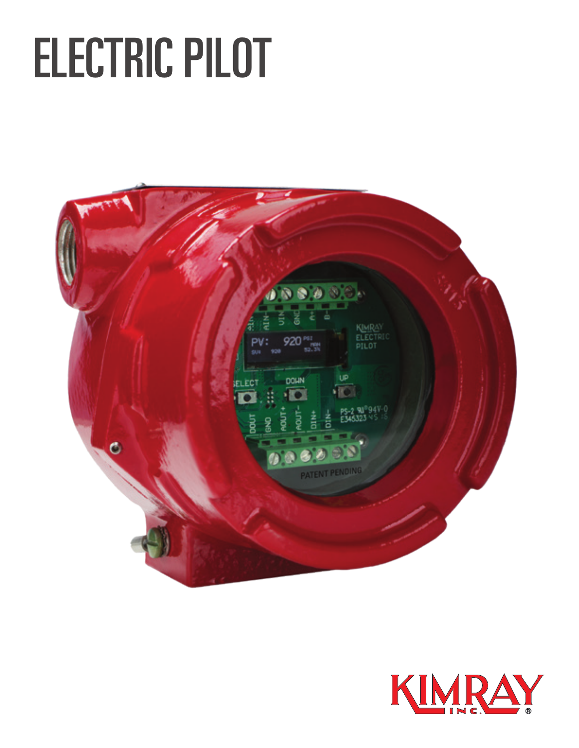# ELECTRIC PILOT